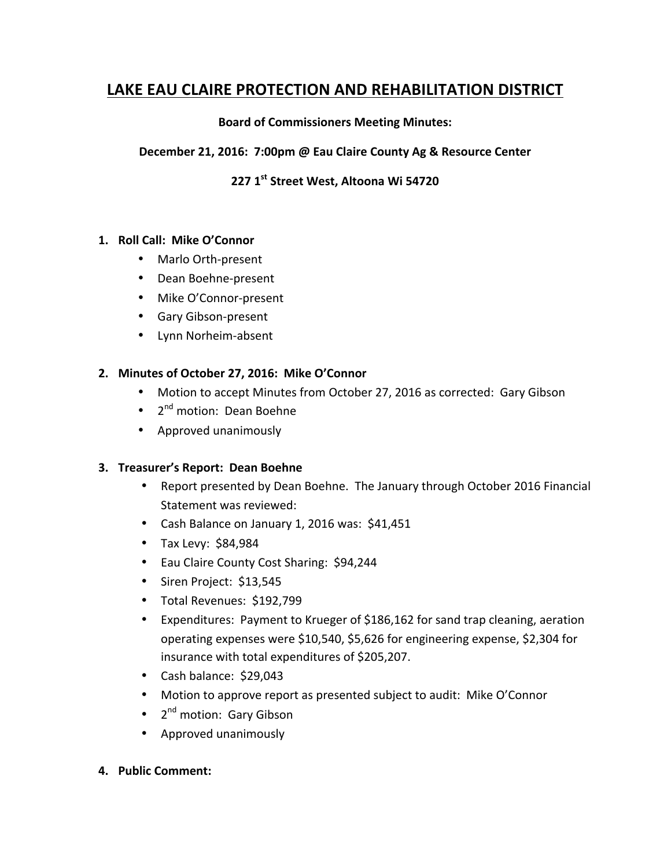# **LAKE EAU CLAIRE PROTECTION AND REHABILITATION DISTRICT**

#### **Board of Commissioners Meeting Minutes:**

### **December 21, 2016: 7:00pm @ Eau Claire County Ag & Resource Center**

## **227 1st Street West, Altoona Wi 54720**

#### 1. Roll Call: Mike O'Connor

- Marlo Orth-present
- Dean Boehne-present
- Mike O'Connor-present
- Gary Gibson-present
- Lynn Norheim-absent

### 2. Minutes of October 27, 2016: Mike O'Connor

- Motion to accept Minutes from October 27, 2016 as corrected: Gary Gibson
- $2^{nd}$  motion: Dean Boehne
- Approved unanimously

#### **3. Treasurer's Report: Dean Boehne**

- Report presented by Dean Boehne. The January through October 2016 Financial Statement was reviewed:
- Cash Balance on January 1, 2016 was: \$41,451
- $\bullet$  Tax Levy: \$84,984
- Eau Claire County Cost Sharing: \$94,244
- Siren Project: \$13,545
- Total Revenues: \$192,799
- Expenditures: Payment to Krueger of \$186,162 for sand trap cleaning, aeration operating expenses were \$10,540, \$5,626 for engineering expense, \$2,304 for insurance with total expenditures of \$205,207.
- $\bullet$  Cash balance: \$29,043
- Motion to approve report as presented subject to audit: Mike O'Connor
- $\bullet$   $2^{nd}$  motion: Gary Gibson
- Approved unanimously
- **4. Public Comment:**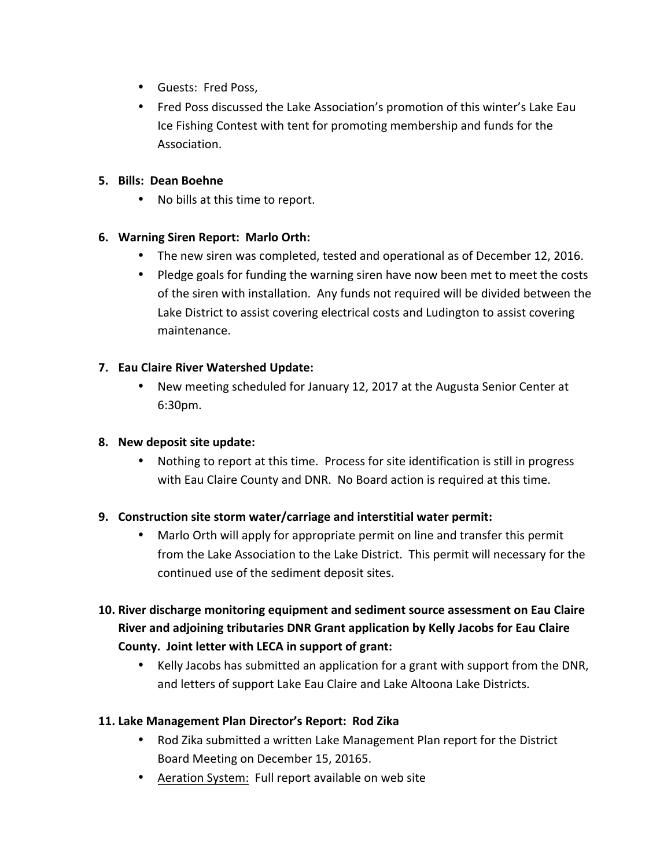- Guests: Fred Poss,
- Fred Poss discussed the Lake Association's promotion of this winter's Lake Eau Ice Fishing Contest with tent for promoting membership and funds for the Association.

### **5. Bills: Dean Boehne**

• No bills at this time to report.

### **6. Warning Siren Report: Marlo Orth:**

- The new siren was completed, tested and operational as of December 12, 2016.
- Pledge goals for funding the warning siren have now been met to meet the costs of the siren with installation. Any funds not required will be divided between the Lake District to assist covering electrical costs and Ludington to assist covering maintenance.

### **7. Eau Claire River Watershed Update:**

• New meeting scheduled for January 12, 2017 at the Augusta Senior Center at 6:30pm.

### **8. New deposit site update:**

• Nothing to report at this time. Process for site identification is still in progress with Eau Claire County and DNR. No Board action is required at this time.

### **9.** Construction site storm water/carriage and interstitial water permit:

- Marlo Orth will apply for appropriate permit on line and transfer this permit from the Lake Association to the Lake District. This permit will necessary for the continued use of the sediment deposit sites.
- **10. River discharge monitoring equipment and sediment source assessment on Eau Claire** River and adjoining tributaries DNR Grant application by Kelly Jacobs for Eau Claire County. Joint letter with LECA in support of grant:
	- Kelly Jacobs has submitted an application for a grant with support from the DNR, and letters of support Lake Eau Claire and Lake Altoona Lake Districts.

### **11. Lake Management Plan Director's Report: Rod Zika**

- Rod Zika submitted a written Lake Management Plan report for the District Board Meeting on December 15, 20165.
- Aeration System: Full report available on web site